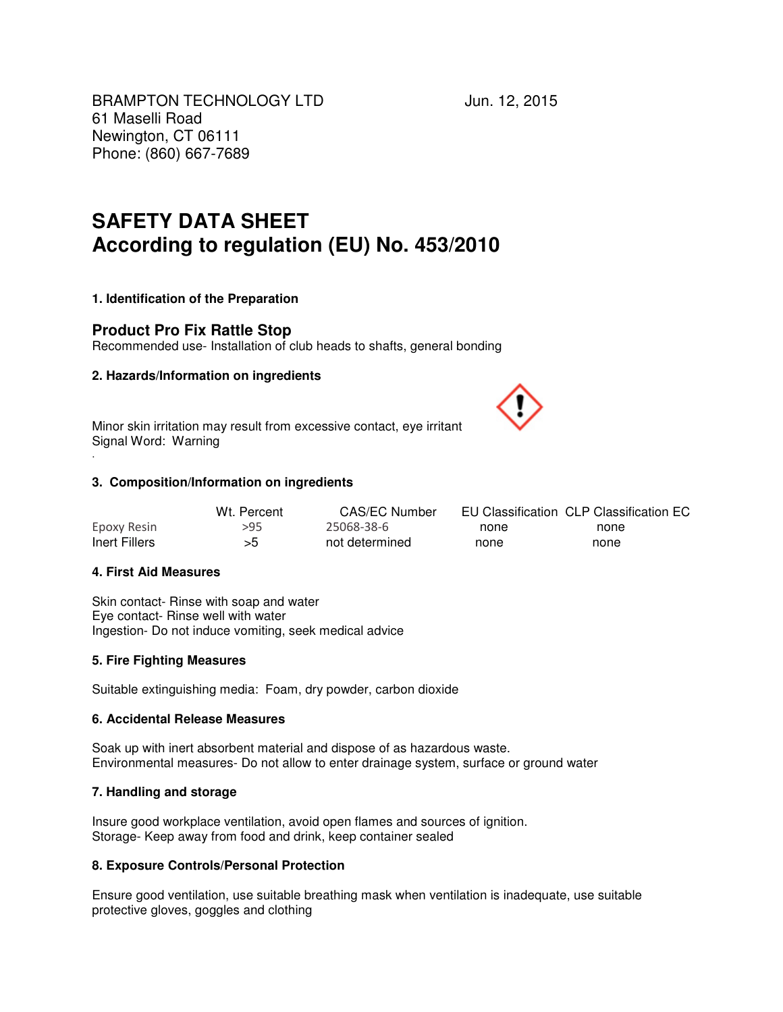BRAMPTON TECHNOLOGY LTD Jun. 12, 2015 61 Maselli Road Newington, CT 06111 Phone: (860) 667-7689

# **SAFETY DATA SHEET According to regulation (EU) No. 453/2010**

# **1. Identification of the Preparation**

# **Product Pro Fix Rattle Stop**

Recommended use- Installation of club heads to shafts, general bonding

### **2. Hazards/Information on ingredients**

Minor skin irritation may result from excessive contact, eye irritant Signal Word: Warning

### **3. Composition/Information on ingredients**

|               | Wt. Percent | CAS/EC Number  |      | EU Classification CLP Classification EC |
|---------------|-------------|----------------|------|-----------------------------------------|
| Epoxy Resin   | >95         | 25068-38-6     | none | none                                    |
| Inert Fillers | >5          | not determined | none | none                                    |

### **4. First Aid Measures**

.

Skin contact- Rinse with soap and water Eye contact- Rinse well with water Ingestion- Do not induce vomiting, seek medical advice

### **5. Fire Fighting Measures**

Suitable extinguishing media: Foam, dry powder, carbon dioxide

#### **6. Accidental Release Measures**

Soak up with inert absorbent material and dispose of as hazardous waste. Environmental measures- Do not allow to enter drainage system, surface or ground water

### **7. Handling and storage**

Insure good workplace ventilation, avoid open flames and sources of ignition. Storage- Keep away from food and drink, keep container sealed

### **8. Exposure Controls/Personal Protection**

Ensure good ventilation, use suitable breathing mask when ventilation is inadequate, use suitable protective gloves, goggles and clothing

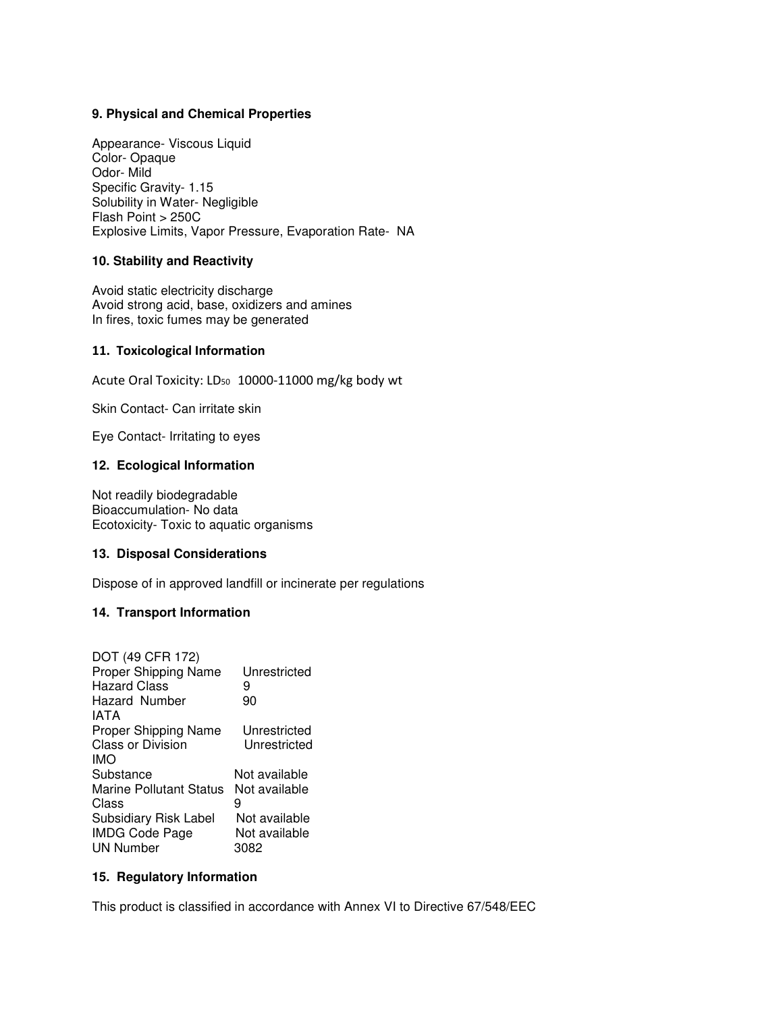### **9. Physical and Chemical Properties**

Appearance- Viscous Liquid Color- Opaque Odor- Mild Specific Gravity- 1.15 Solubility in Water- Negligible Flash Point > 250C Explosive Limits, Vapor Pressure, Evaporation Rate- NA

### **10. Stability and Reactivity**

Avoid static electricity discharge Avoid strong acid, base, oxidizers and amines In fires, toxic fumes may be generated

### 11. Toxicological Information

Acute Oral Toxicity: LD<sub>50</sub> 10000-11000 mg/kg body wt

Skin Contact- Can irritate skin

Eye Contact- Irritating to eyes

### **12. Ecological Information**

Not readily biodegradable Bioaccumulation- No data Ecotoxicity- Toxic to aquatic organisms

# **13. Disposal Considerations**

Dispose of in approved landfill or incinerate per regulations

## **14. Transport Information**

| DOT (49 CFR 172)<br>Proper Shipping Name<br><b>Hazard Class</b><br>Hazard Number<br>IATA | Unrestricted<br>9<br>90      |
|------------------------------------------------------------------------------------------|------------------------------|
| <b>Proper Shipping Name</b><br>Class or Division<br><b>IMO</b>                           | Unrestricted<br>Unrestricted |
| Substance                                                                                | Not available                |
| Marine Pollutant Status                                                                  | Not available                |
| Class<br>Subsidiary Risk Label                                                           | 9<br>Not available           |
| <b>IMDG Code Page</b>                                                                    | Not available                |
| <b>UN Number</b>                                                                         | 3082                         |

### **15. Regulatory Information**

This product is classified in accordance with Annex VI to Directive 67/548/EEC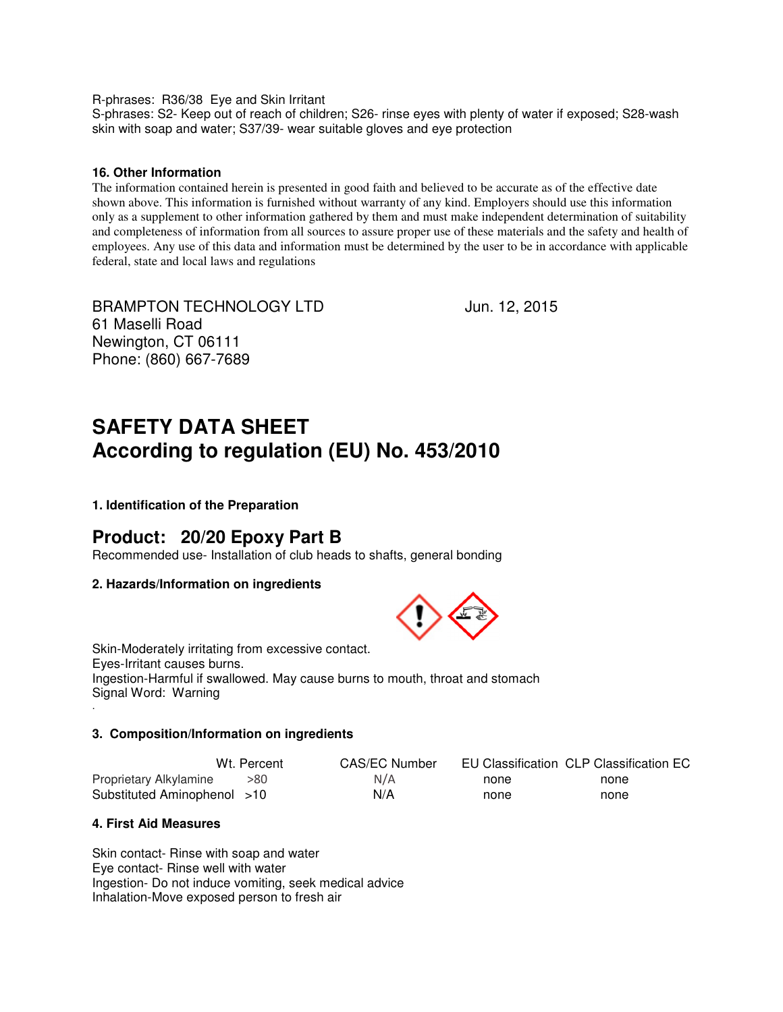R-phrases: R36/38 Eye and Skin Irritant

S-phrases: S2- Keep out of reach of children; S26- rinse eyes with plenty of water if exposed; S28-wash skin with soap and water; S37/39- wear suitable gloves and eye protection

### **16. Other Information**

The information contained herein is presented in good faith and believed to be accurate as of the effective date shown above. This information is furnished without warranty of any kind. Employers should use this information only as a supplement to other information gathered by them and must make independent determination of suitability and completeness of information from all sources to assure proper use of these materials and the safety and health of employees. Any use of this data and information must be determined by the user to be in accordance with applicable federal, state and local laws and regulations

BRAMPTON TECHNOLOGY LTD Jun. 12, 2015 61 Maselli Road Newington, CT 06111 Phone: (860) 667-7689

# **SAFETY DATA SHEET According to regulation (EU) No. 453/2010**

**1. Identification of the Preparation** 

# **Product: 20/20 Epoxy Part B**

Recommended use- Installation of club heads to shafts, general bonding

### **2. Hazards/Information on ingredients**



Skin-Moderately irritating from excessive contact. Eyes-Irritant causes burns. Ingestion-Harmful if swallowed. May cause burns to mouth, throat and stomach Signal Word: Warning .

# **3. Composition/Information on ingredients**

|                             | Wt. Percent | CAS/EC Number |      | EU Classification CLP Classification EC |
|-----------------------------|-------------|---------------|------|-----------------------------------------|
| Proprietary Alkylamine      | >80         | N/A           | none | none                                    |
| Substituted Aminophenol >10 |             | N/A           | none | none                                    |

# **4. First Aid Measures**

Skin contact- Rinse with soap and water Eye contact- Rinse well with water Ingestion- Do not induce vomiting, seek medical advice Inhalation-Move exposed person to fresh air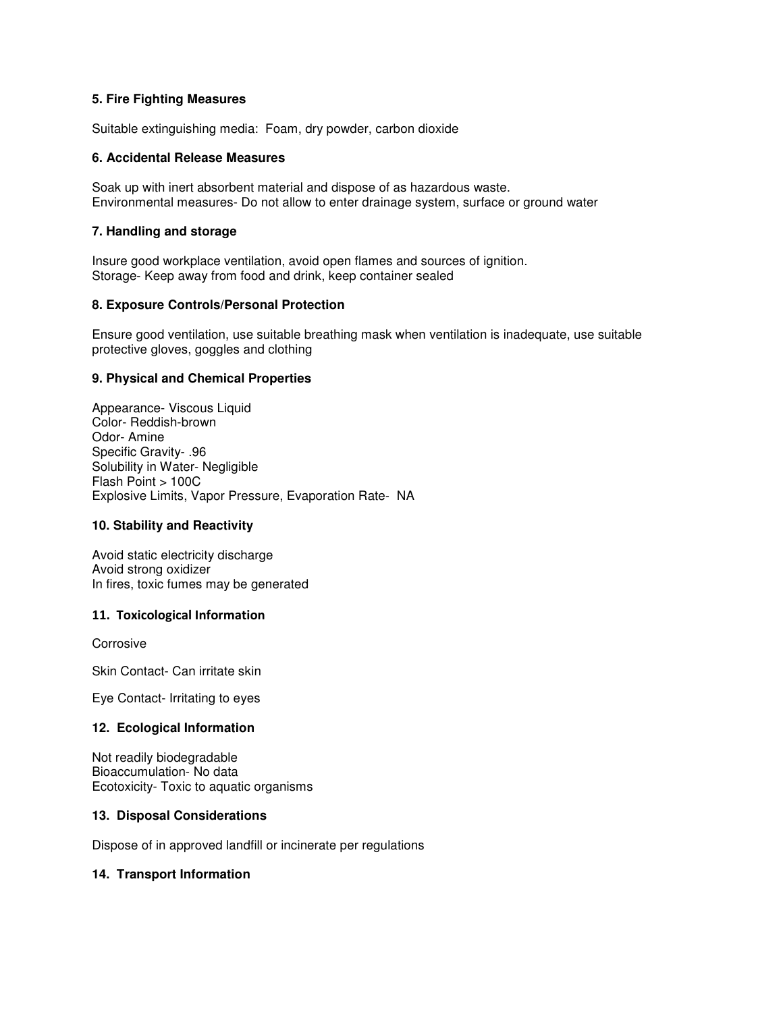# **5. Fire Fighting Measures**

Suitable extinguishing media: Foam, dry powder, carbon dioxide

### **6. Accidental Release Measures**

Soak up with inert absorbent material and dispose of as hazardous waste. Environmental measures- Do not allow to enter drainage system, surface or ground water

# **7. Handling and storage**

Insure good workplace ventilation, avoid open flames and sources of ignition. Storage- Keep away from food and drink, keep container sealed

### **8. Exposure Controls/Personal Protection**

Ensure good ventilation, use suitable breathing mask when ventilation is inadequate, use suitable protective gloves, goggles and clothing

### **9. Physical and Chemical Properties**

Appearance- Viscous Liquid Color- Reddish-brown Odor- Amine Specific Gravity- .96 Solubility in Water- Negligible Flash Point > 100C Explosive Limits, Vapor Pressure, Evaporation Rate- NA

### **10. Stability and Reactivity**

Avoid static electricity discharge Avoid strong oxidizer In fires, toxic fumes may be generated

# 11. Toxicological Information

Corrosive

Skin Contact- Can irritate skin

Eye Contact- Irritating to eyes

### **12. Ecological Information**

Not readily biodegradable Bioaccumulation- No data Ecotoxicity- Toxic to aquatic organisms

### **13. Disposal Considerations**

Dispose of in approved landfill or incinerate per regulations

### **14. Transport Information**